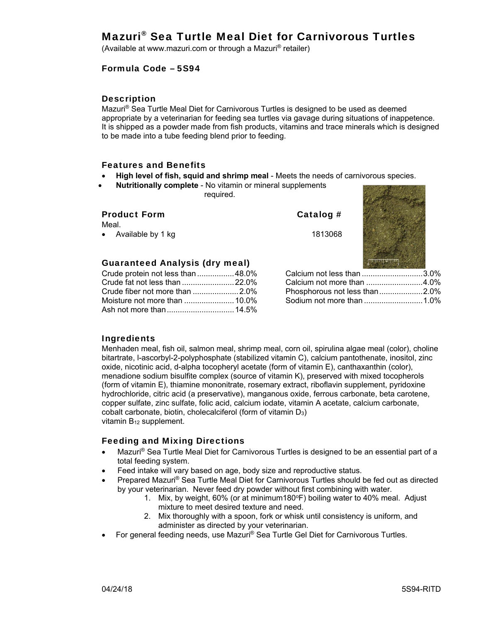# Mazuri® Sea Turtle Meal Diet for Carnivorous Turtles

(Available at www.mazuri.com or through a Mazuri® retailer)

### Formula Code – 5S94

#### **Description**

Mazuri® Sea Turtle Meal Diet for Carnivorous Turtles is designed to be used as deemed appropriate by a veterinarian for feeding sea turtles via gavage during situations of inappetence. It is shipped as a powder made from fish products, vitamins and trace minerals which is designed to be made into a tube feeding blend prior to feeding.

#### Features and Benefits

- **High level of fish, squid and shrimp meal**  Meets the needs of carnivorous species.
- **Nutritionally complete** No vitamin or mineral supplements required.

| <b>Product Form</b><br>Meal.<br>• Available by 1 kg | Catalog $#$<br>1813068        |  |
|-----------------------------------------------------|-------------------------------|--|
| <b>Guaranteed Analysis (dry meal)</b>               |                               |  |
| Crude protein not less than 48.0%                   | Calcium not less than 3.0%    |  |
| Crude fat not less than  22.0%                      | Calcium not more than 4.0%    |  |
|                                                     | Phosphorous not less than2.0% |  |

Sodium not more than ........................... 1.0%

## Ingredients

Menhaden meal, fish oil, salmon meal, shrimp meal, corn oil, spirulina algae meal (color), choline bitartrate, l-ascorbyl-2-polyphosphate (stabilized vitamin C), calcium pantothenate, inositol, zinc oxide, nicotinic acid, d-alpha tocopheryl acetate (form of vitamin E), canthaxanthin (color), menadione sodium bisulfite complex (source of vitamin K), preserved with mixed tocopherols (form of vitamin E), thiamine mononitrate, rosemary extract, riboflavin supplement, pyridoxine hydrochloride, citric acid (a preservative), manganous oxide, ferrous carbonate, beta carotene, copper sulfate, zinc sulfate, folic acid, calcium iodate, vitamin A acetate, calcium carbonate, cobalt carbonate, biotin, cholecalciferol (form of vitamin D3) vitamin B12 supplement.

## Feeding and Mixing Directions

Moisture not more than ....................... 10.0% Ash not more than ............................... 14.5%

- Mazuri® Sea Turtle Meal Diet for Carnivorous Turtles is designed to be an essential part of a total feeding system.
- Feed intake will vary based on age, body size and reproductive status.
- Prepared Mazuri® Sea Turtle Meal Diet for Carnivorous Turtles should be fed out as directed by your veterinarian. Never feed dry powder without first combining with water.
	- 1. Mix, by weight,  $60\%$  (or at minimum180 $^{\circ}$ F) boiling water to 40% meal. Adjust mixture to meet desired texture and need.
	- 2. Mix thoroughly with a spoon, fork or whisk until consistency is uniform, and administer as directed by your veterinarian.
- For general feeding needs, use Mazuri® Sea Turtle Gel Diet for Carnivorous Turtles.